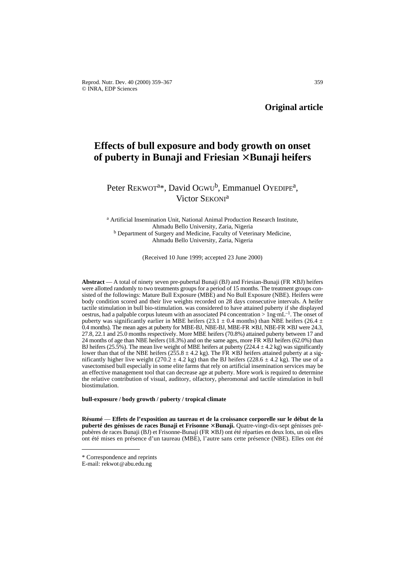Reprod. Nutr. Dev. 40 (2000) 359–367 359 © INRA, EDP Sciences

# **Effects of bull exposure and body growth on onset of puberty in Bunaji and Friesian** × **Bunaji heifers**

# Peter REKWOT<sup>a\*</sup>, David OGWU<sup>b</sup>, Emmanuel OYEDIPE<sup>a</sup>, Victor SEKONI<sup>a</sup>

<sup>a</sup> Artificial Insemination Unit, National Animal Production Research Institute, Ahmadu Bello University, Zaria, Nigeria <sup>b</sup> Department of Surgery and Medicine, Faculty of Veterinary Medicine, Ahmadu Bello University, Zaria, Nigeria

(Received 10 June 1999; accepted 23 June 2000)

**Abstract** — A total of ninety seven pre-pubertal Bunaji (BJ) and Friesian-Bunaji (FR × BJ) heifers were allotted randomly to two treatments groups for a period of 15 months. The treatment groups consisted of the followings: Mature Bull Exposure (MBE) and No Bull Exposure (NBE). Heifers were body condition scored and their live weights recorded on 28 days consecutive intervals. A heifer tactile stimulation in bull bio-stimulation. was considered to have attained puberty if she displayed oestrus, had a palpable corpus luteum with an associated P4 concentration  $> \log_{10} L^{-1}$ . The onset of puberty was significantly earlier in MBE heifers (23.1  $\pm$  0.4 months) than NBE heifers (26.4  $\pm$ 0.4 months). The mean ages at puberty for MBE-BJ, NBE-BJ, MBE-FR  $\times$  BJ, NBE-FR  $\times$  BJ were 24.3, 27.8, 22.1 and 25.0 months respectively. More MBE heifers (70.8%) attained puberty between 17 and 24 months of age than NBE heifers (18.3%) and on the same ages, more  $FR \times BJ$  heifers (62.0%) than BJ heifers (25.5%). The mean live weight of MBE heifers at puberty (224.4  $\pm$  4.2 kg) was significantly lower than that of the NBE heifers ( $255.8 \pm 4.2$  kg). The FR  $\times$  BJ heifers attained puberty at a significantly higher live weight (270.2  $\pm$  4.2 kg) than the BJ heifers (228.6  $\pm$  4.2 kg). The use of a vasectomised bull especially in some elite farms that rely on artificial insemination services may be an effective management tool that can decrease age at puberty. More work is required to determine the relative contribution of visual, auditory, olfactory, pheromonal and tactile stimulation in bull biostimulation.

**bull-exposure / body growth / puberty / tropical climate**

**Résumé** — **Effets de l'exposition au taureau et de la croissance corporelle sur le début de la puberté des génisses de races Bunaji et Frisonne** × **Bunaji.** Quatre-vingt-dix-sept génisses prépubères de races Bunaji (BJ) et Frisonne-Bunaji (FR × BJ) ont été réparties en deux lots, un où elles ont été mises en présence d'un taureau (MBE), l'autre sans cette présence (NBE). Elles ont été

<sup>\*</sup> Correspondence and reprints

E-mail: rekwot@abu.edu.ng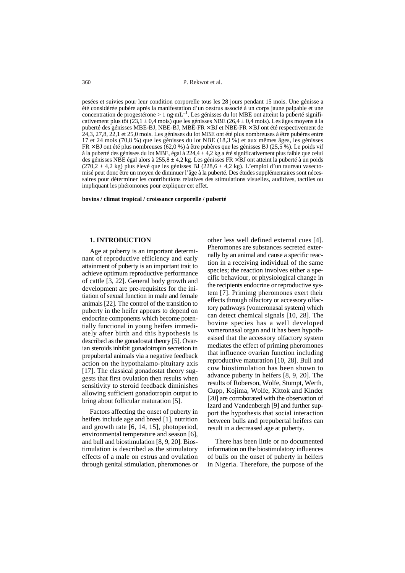pesées et suivies pour leur condition corporelle tous les 28 jours pendant 15 mois. Une génisse a été considérée pubère après la manifestation d'un oestrus associé à un corps jaune palpable et une concentration de progestérone > 1 ng·mL<sup>-1</sup>. Les génisses du lot MBE ont atteint la puberté significativement plus tôt  $(23,1 \pm 0,4 \text{ mois})$  que les génisses NBE  $(26,4 \pm 0,4 \text{ mois})$ . Les âges moyens à la puberté des génisses MBE-BJ, NBE-BJ, MBE-FR × BJ et NBE-FR × BJ ont été respectivement de 24,3, 27,8, 22,1 et 25,0 mois. Les génisses du lot MBE ont été plus nombreuses à être pubères entre 17 et 24 mois (70,8 %) que les génisses du lot NBE (18,3 %) et aux mêmes âges, les génisses  $FR \times BJ$  ont été plus nombreuses (62,0 %) à être pubères que les génisses BJ (25,5 %). Le poids vif à la puberté des génisses du lot MBE, égal à 224,4 ± 4,2 kg a été significativement plus faible que celui des génisses NBE égal alors à 255,8 ± 4,2 kg. Les génisses FR × BJ ont atteint la puberté à un poids  $(270,2 \pm 4,2 \text{ kg})$  plus élevé que les génisses BJ  $(228,6 \pm 4,2 \text{ kg})$ . L'emploi d'un taureau vasectomisé peut donc être un moyen de diminuer l'âge à la puberté. Des études supplémentaires sont nécessaires pour déterminer les contributions relatives des stimulations visuelles, auditives, tactiles ou impliquant les phéromones pour expliquer cet effet.

**bovins / climat tropical / croissance corporelle / puberté**

### **1. INTRODUCTION**

Age at puberty is an important determinant of reproductive efficiency and early attainment of puberty is an important trait to achieve optimum reproductive performance of cattle [3, 22]. General body growth and development are pre-requisites for the initiation of sexual function in male and female animals [22]. The control of the transition to puberty in the heifer appears to depend on endocrine components which become potentially functional in young heifers immediately after birth and this hypothesis is described as the gonadostat theory [5]. Ovarian steroids inhibit gonadotropin secretion in prepubertal animals via a negative feedback action on the hypothalamo-pituitary axis [17]. The classical gonadostat theory suggests that first ovulation then results when sensitivity to steroid feedback diminishes allowing sufficient gonadotropin output to bring about follicular maturation [5].

Factors affecting the onset of puberty in heifers include age and breed [1], nutrition and growth rate [6, 14, 15], photoperiod, environmental temperature and season [6], and bull and biostimulation [8, 9, 20]. Biostimulation is described as the stimulatory effects of a male on estrus and ovulation through genital stimulation, pheromones or

other less well defined external cues [4]. Pheromones are substances secreted externally by an animal and cause a specific reaction in a receiving individual of the same species; the reaction involves either a specific behaviour, or physiological change in the recipients endocrine or reproductive system [7]. Primimg pheromones exert their effects through olfactory or accessory olfactory pathways (vomeronasal system) which can detect chemical signals [10, 28]. The bovine species has a well developed vomeronasal organ and it has been hypothesised that the accessory olfactory system mediates the effect of priming pheromones that influence ovarian function including reproductive maturation [10, 28]. Bull and cow biostimulation has been shown to advance puberty in heifers [8, 9, 20]. The results of Roberson, Wolfe, Stumpt, Werth, Cupp, Kojima, Wolfe, Kittok and Kinder [20] are corroborated with the observation of Izard and Vandenbergh [9] and further support the hypothesis that social interaction between bulls and prepubertal heifers can result in a decreased age at puberty.

There has been little or no documented information on the biostimulatory influences of bulls on the onset of puberty in heifers in Nigeria. Therefore, the purpose of the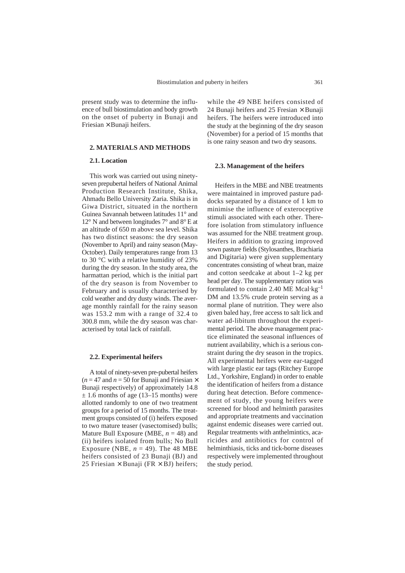present study was to determine the influence of bull biostimulation and body growth on the onset of puberty in Bunaji and Friesian × Bunaji heifers.

# **2. MATERIALS AND METHODS**

# **2.1. Location**

This work was carried out using ninetyseven prepubertal heifers of National Animal Production Research Institute, Shika, Ahmadu Bello University Zaria. Shika is in Giwa District, situated in the northern Guinea Savannah between latitudes 11° and 12° N and between longitudes 7° and 8° E at an altitude of 650 m above sea level. Shika has two distinct seasons: the dry season (November to April) and rainy season (May-October). Daily temperatures range from 13 to 30 °C with a relative humidity of 23% during the dry season. In the study area, the harmattan period, which is the initial part of the dry season is from November to February and is usually characterised by cold weather and dry dusty winds. The average monthly rainfall for the rainy season was 153.2 mm with a range of 32.4 to 300.8 mm, while the dry season was characterised by total lack of rainfall.

### **2.2. Experimental heifers**

A total of ninety-seven pre-pubertal heifers  $(n = 47$  and  $n = 50$  for Bunaji and Friesian  $\times$ Bunaji respectively) of approximately 14.8  $\pm$  1.6 months of age (13–15 months) were allotted randomly to one of two treatment groups for a period of 15 months. The treatment groups consisted of (i) heifers exposed to two mature teaser (vasectomised) bulls; Mature Bull Exposure (MBE, *n* = 48) and (ii) heifers isolated from bulls; No Bull Exposure (NBE,  $n = 49$ ). The 48 MBE heifers consisted of 23 Bunaji (BJ) and 25 Friesian  $\times$  Bunaji (FR  $\times$  BJ) heifers; while the 49 NBE heifers consisted of 24 Bunaji heifers and 25 Fresian  $\times$  Bunaji heifers. The heifers were introduced into the study at the beginning of the dry season (November) for a period of 15 months that is one rainy season and two dry seasons.

### **2.3. Management of the heifers**

Heifers in the MBE and NBE treatments were maintained in improved pasture paddocks separated by a distance of 1 km to minimise the influence of exteroceptive stimuli associated with each other. Therefore isolation from stimulatory influence was assumed for the NBE treatment group. Heifers in addition to grazing improved sown pasture fields (Stylosanthes, Brachiaria and Digitaria) were given supplementary concentrates consisting of wheat bran, maize and cotton seedcake at about 1–2 kg per head per day. The supplementary ration was formulated to contain 2.40 ME Mcal·kg–1 DM and 13.5% crude protein serving as a normal plane of nutrition. They were also given baled hay, free access to salt lick and water ad-libitum throughout the experimental period. The above management practice eliminated the seasonal influences of nutrient availability, which is a serious constraint during the dry season in the tropics. All experimental heifers were ear-tagged with large plastic ear tags (Ritchey Europe Ltd., Yorkshire, England) in order to enable the identification of heifers from a distance during heat detection. Before commencement of study, the young heifers were screened for blood and helminth parasites and appropriate treatments and vaccination against endemic diseases were carried out. Regular treatments with anthelmintics, acaricides and antibiotics for control of helminthiasis, ticks and tick-borne diseases respectively were implemented throughout the study period.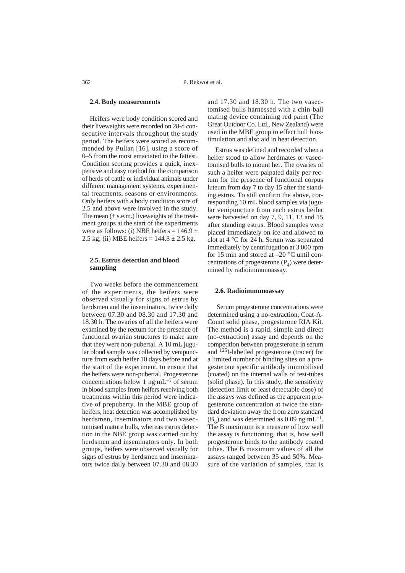#### **2.4. Body measurements**

Heifers were body condition scored and their liveweights were recorded on 28-d consecutive intervals throughout the study period. The heifers were scored as recommended by Pullan [16], using a score of 0–5 from the most emaciated to the fattest. Condition scoring provides a quick, inexpensive and easy method for the comparison of herds of cattle or individual animals under different management systems, experimental treatments, seasons or environments. Only heifers with a body condition score of 2.5 and above were involved in the study. The mean  $(\pm s.e.m.)$  liveweights of the treatment groups at the start of the experiments were as follows: (i) NBE heifers =  $146.9 \pm$ 2.5 kg; (ii) MBE heifers =  $144.8 \pm 2.5$  kg.

## **2.5. Estrus detection and blood sampling**

Two weeks before the commencement of the experiments, the heifers were observed visually for signs of estrus by herdsmen and the inseminators, twice daily between 07.30 and 08.30 and 17.30 and 18.30 h. The ovaries of all the heifers were examined by the rectum for the presence of functional ovarian structures to make sure that they were non-pubertal. A 10 mL jugular blood sample was collected by venipuncture from each heifer 10 days before and at the start of the experiment, to ensure that the heifers were non-pubertal. Progesterone concentrations below 1 ng·mL–1 of serum in blood samples from heifers receiving both treatments within this period were indicative of prepuberty. In the MBE group of heifers, heat detection was accomplished by herdsmen, inseminators and two vasectomised mature bulls, whereas estrus detection in the NBE group was carried out by herdsmen and inseminators only. In both groups, heifers were observed visually for signs of estrus by herdsmen and inseminators twice daily between 07.30 and 08.30

and 17.30 and 18.30 h. The two vasectomised bulls harnessed with a chin-ball mating device containing red paint (The Great Outdoor Co. Ltd., New Zealand) were used in the MBE group to effect bull biostimulation and also aid in heat detection.

Estrus was defined and recorded when a heifer stood to allow herdmates or vasectomised bulls to mount her. The ovaries of such a heifer were palpated daily per rectum for the presence of functional corpus luteum from day 7 to day 15 after the standing estrus. To still confirm the above, corresponding 10 mL blood samples via jugular venipuncture from each estrus heifer were harvested on day 7, 9, 11, 13 and 15 after standing estrus. Blood samples were placed immediately on ice and allowed to clot at 4 °C for 24 h. Serum was separated immediately by centrifugation at 3 000 rpm for 15 min and stored at –20 °C until concentrations of progesterone  $(P_4)$  were determined by radioimmunoassay.

#### **2.6. Radioimmunoassay**

Serum progesterone concentrations were determined using a no-extraction, Coat-A-Count solid phase, progesterone RIA Kit. The method is a rapid, simple and direct (no-extraction) assay and depends on the competition between progesterone in serum and 125I-labelled progesterone (tracer) for a limited number of binding sites on a progesterone specific antibody immobilised (coated) on the internal walls of test-tubes (solid phase). In this study, the sensitivity (detection limit or least detectable dose) of the assays was defined as the apparent progesterone concentration at twice the standard deviation away the from zero standard  $(B_0)$  and was determined as 0.09 ng·mL<sup>-1</sup>. The B maximum is a measure of how well the assay is functioning, that is, how well progesterone binds to the antibody coated tubes. The B maximum values of all the assays ranged between 35 and 50%. Measure of the variation of samples, that is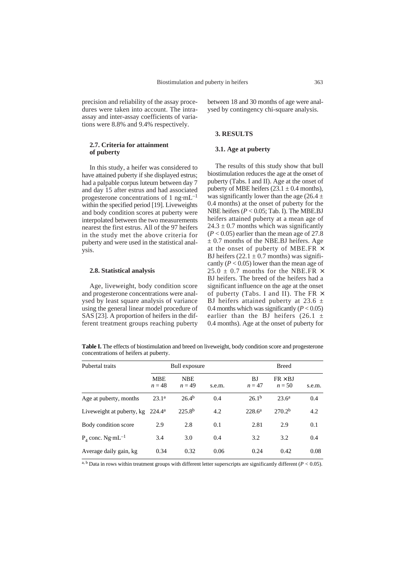precision and reliability of the assay procedures were taken into account. The intraassay and inter-assay coefficients of variations were 8.8% and 9.4% respectively.

# **2.7. Criteria for attainment of puberty**

In this study, a heifer was considered to have attained puberty if she displayed estrus; had a palpable corpus luteum between day 7 and day 15 after estrus and had associated progesterone concentrations of 1 ng·mL–1 within the specified period [19]. Liveweights and body condition scores at puberty were interpolated between the two measurements nearest the first estrus. All of the 97 heifers in the study met the above criteria for puberty and were used in the statistical analysis.

## **2.8. Statistical analysis**

Age, liveweight, body condition score and progesterone concentrations were analysed by least square analysis of variance using the general linear model procedure of SAS [23]. A proportion of heifers in the different treatment groups reaching puberty

between 18 and 30 months of age were analysed by contingency chi-square analysis.

# **3. RESULTS**

# **3.1. Age at puberty**

The results of this study show that bull biostimulation reduces the age at the onset of puberty (Tabs. I and II). Age at the onset of puberty of MBE heifers  $(23.1 \pm 0.4 \text{ months})$ , was significantly lower than the age (26.4  $\pm$ 0.4 months) at the onset of puberty for the NBE heifers (*P* < 0.05; Tab. I). The MBE.BJ heifers attained puberty at a mean age of  $24.3 \pm 0.7$  months which was significantly  $(P < 0.05)$  earlier than the mean age of 27.8  $\pm$  0.7 months of the NBE.BJ heifers. Age at the onset of puberty of MBE.FR  $\times$ BJ heifers  $(22.1 \pm 0.7 \text{ months})$  was significantly  $(P < 0.05)$  lower than the mean age of 25.0  $\pm$  0.7 months for the NBE.FR  $\times$ BJ heifers. The breed of the heifers had a significant influence on the age at the onset of puberty (Tabs. I and II). The FR  $\times$ BJ heifers attained puberty at 23.6  $\pm$ 0.4 months which was significantly  $(P < 0.05)$ earlier than the BJ heifers  $(26.1 +$ 0.4 months). Age at the onset of puberty for

**Table I.** The effects of biostimulation and breed on liveweight, body condition score and progesterone concentrations of heifers at puberty.

| Pubertal traits                                | Bull exposure          |                        |        | <b>Breed</b>      |                            |        |
|------------------------------------------------|------------------------|------------------------|--------|-------------------|----------------------------|--------|
|                                                | <b>MBE</b><br>$n = 48$ | <b>NBE</b><br>$n = 49$ | s.e.m. | BJ<br>$n=47$      | $FR \times BJ$<br>$n = 50$ | s.e.m. |
| Age at puberty, months                         | 23.1 <sup>a</sup>      | $26.4^{b}$             | 0.4    | 26.1 <sup>b</sup> | $23.6^a$                   | 0.4    |
| Liveweight at puberty, $kg$ 224.4 <sup>a</sup> |                        | $225.8^{b}$            | 4.2    | $228.6^a$         | 270.2 <sup>b</sup>         | 4.2    |
| Body condition score                           | 2.9                    | 2.8                    | 0.1    | 2.81              | 2.9                        | 0.1    |
| $P_A$ conc. Ng $\cdot$ mL <sup>-1</sup>        | 3.4                    | 3.0                    | 0.4    | 3.2               | 3.2                        | 0.4    |
| Average daily gain, kg                         | 0.34                   | 0.32                   | 0.06   | 0.24              | 0.42                       | 0.08   |

a, b Data in rows within treatment groups with different letter superscripts are significantly different  $(P < 0.05)$ .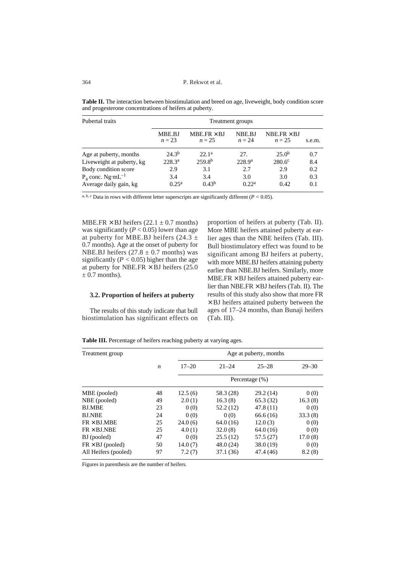P. Rekwot et al.

| Pubertal traits                 | Treatment groups   |                              |                    |                              |        |  |
|---------------------------------|--------------------|------------------------------|--------------------|------------------------------|--------|--|
|                                 | MBE.BJ<br>$n=23$   | $MBE.FR \times BJ$<br>$n=25$ | NBE.BJ<br>$n=24$   | NBE $FR \times BJ$<br>$n=25$ | s.e.m. |  |
| Age at puberty, months          | $24.3^{b}$         | 22.1 <sup>a</sup>            | 27.                | 25.0 <sup>b</sup>            | 0.7    |  |
| Liveweight at puberty, kg       | 228.3 <sup>a</sup> | 259.8 <sup>b</sup>           | 228.9 <sup>a</sup> | 280.6c                       | 8.4    |  |
| Body condition score            | 2.9                | 3.1                          | 2.7                | 2.9                          | 0.2    |  |
| $P_4$ conc. Ng·mL <sup>-1</sup> | 3.4                | 3.4                          | 3.0                | 3.0                          | 0.3    |  |
| Average daily gain, kg          | 0.25 <sup>a</sup>  | 0.43 <sup>b</sup>            | 0.22 <sup>a</sup>  | 0.42                         | 0.1    |  |

**Table II.** The interaction between biostimulation and breed on age, liveweight, body condition score and progesterone concentrations of heifers at puberty.

a, b, c Data in rows with different letter superscripts are significantly different  $(P < 0.05)$ .

MBE.FR  $\times$  BJ heifers (22.1  $\pm$  0.7 months) was significantly  $(P < 0.05)$  lower than age at puberty for MBE.BJ heifers  $(24.3 \pm$ 0.7 months). Age at the onset of puberty for NBE.BJ heifers  $(27.8 \pm 0.7 \text{ months})$  was significantly  $(P < 0.05)$  higher than the age at puberty for NBE.FR  $\times$  BJ heifers (25.0)  $\pm$  0.7 months).

# **3.2. Proportion of heifers at puberty**

The results of this study indicate that bull biostimulation has significant effects on

proportion of heifers at puberty (Tab. II). More MBE heifers attained puberty at earlier ages than the NBE heifers (Tab. III). Bull biostimulatory effect was found to be significant among BJ heifers at puberty, with more MBE.BJ heifers attaining puberty earlier than NBE.BJ heifers. Similarly, more  $MBE.FR \times BJ$  heifers attained puberty earlier than NBE.FR  $\times$  BJ heifers (Tab. II). The results of this study also show that more FR  $\times$  BJ heifers attained puberty between the ages of 17–24 months, than Bunaji heifers (Tab. III).

**Table III.** Percentage of heifers reaching puberty at varying ages.

| Treatment group         |    | Age at puberty, months |           |           |           |  |  |
|-------------------------|----|------------------------|-----------|-----------|-----------|--|--|
|                         | n  | $17 - 20$              | $21 - 24$ | $25 - 28$ | $29 - 30$ |  |  |
|                         |    | Percentage (%)         |           |           |           |  |  |
| MBE (pooled)            | 48 | 12.5(6)                | 58.3 (28) | 29.2(14)  | 0(0)      |  |  |
| NBE (pooled)            | 49 | 2.0(1)                 | 16.3(8)   | 65.3(32)  | 16.3(8)   |  |  |
| <b>BJ.MBE</b>           | 23 | 0(0)                   | 52.2(12)  | 47.8(11)  | 0(0)      |  |  |
| <b>BJ.NBE</b>           | 24 | 0(0)                   | 0(0)      | 66.6(16)  | 33.3(8)   |  |  |
| $FR \times BJ.MBE$      | 25 | 24.0(6)                | 64.0(16)  | 12.0(3)   | 0(0)      |  |  |
| $FR \times BJ.NBE$      | 25 | 4.0(1)                 | 32.0(8)   | 64.0(16)  | 0(0)      |  |  |
| BJ (pooled)             | 47 | 0(0)                   | 25.5(12)  | 57.5(27)  | 17.0(8)   |  |  |
| $FR \times BJ$ (pooled) | 50 | 14.0(7)                | 48.0(24)  | 38.0(19)  | 0(0)      |  |  |
| All Heifers (pooled)    | 97 | 7.2(7)                 | 37.1(36)  | 47.4 (46) | 8.2(8)    |  |  |

Figures in parenthesis are the number of heifers.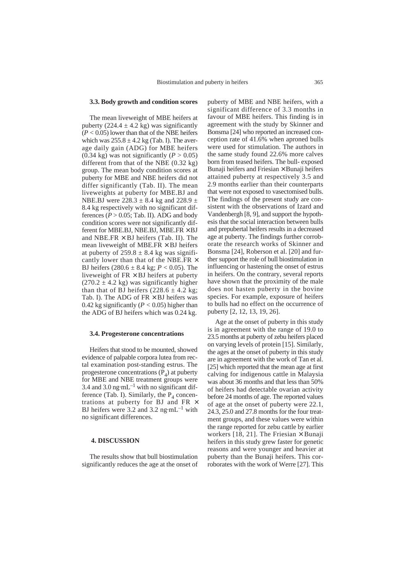#### **3.3. Body growth and condition scores**

The mean liveweight of MBE heifers at puberty (224.4  $\pm$  4.2 kg) was significantly  $(P < 0.05)$  lower than that of the NBE heifers which was  $255.8 \pm 4.2$  kg (Tab. I). The average daily gain (ADG) for MBE heifers (0.34 kg) was not significantly  $(P > 0.05)$ different from that of the NBE (0.32 kg) group. The mean body condition scores at puberty for MBE and NBE heifers did not differ significantly (Tab. II). The mean liveweights at puberty for MBE.BJ and NBE.BJ were 228.3  $\pm$  8.4 kg and 228.9  $\pm$ 8.4 kg respectively with no significant differences  $(P > 0.05$ ; Tab. II). ADG and body condition scores were not significantly different for MBE.BJ, NBE.BJ, MBE.FR  $\times$  BJ and NBE.FR  $\times$  BJ heifers (Tab. II). The mean liveweight of MBE. $FR \times BJ$  heifers at puberty of  $259.8 \pm 8.4$  kg was significantly lower than that of the NBE.FR  $\times$ BJ heifers (280.6 ± 8.4 kg; *P* < 0.05). The liveweight of  $FR \times BJ$  heifers at puberty  $(270.2 \pm 4.2 \text{ kg})$  was significantly higher than that of BJ heifers  $(228.6 \pm 4.2 \text{ kg})$ ; Tab. I). The ADG of  $FR \times BJ$  heifers was 0.42 kg significantly ( $P < 0.05$ ) higher than the ADG of BJ heifers which was 0.24 kg.

#### **3.4. Progesterone concentrations**

Heifers that stood to be mounted, showed evidence of palpable corpora lutea from rectal examination post-standing estrus. The progesterone concentrations  $(P_4)$  at puberty for MBE and NBE treatment groups were 3.4 and 3.0 ng·mL<sup> $-1$ </sup> with no significant difference (Tab. I). Similarly, the  $P_4$  concentrations at puberty for BJ and FR  $\times$ BJ heifers were 3.2 and 3.2 ng·mL<sup>-1</sup> with no significant differences.

#### **4. DISCUSSION**

The results show that bull biostimulation significantly reduces the age at the onset of

puberty of MBE and NBE heifers, with a significant difference of 3.3 months in favour of MBE heifers. This finding is in agreement with the study by Skinner and Bonsma [24] who reported an increased conception rate of 41.6% when aproned bulls were used for stimulation. The authors in the same study found 22.6% more calves born from teased heifers. The bull- exposed Bunaji heifers and Friesian  $\times$  Bunaji heifers attained puberty at respectively 3.5 and 2.9 months earlier than their counterparts that were not exposed to vasectomised bulls. The findings of the present study are consistent with the observations of Izard and Vandenbergh [8, 9], and support the hypothesis that the social interaction between bulls and prepubertal heifers results in a decreased age at puberty. The findings further corroborate the research works of Skinner and Bonsma [24], Roberson et al. [20] and further support the role of bull biostimulation in influencing or hastening the onset of estrus in heifers. On the contrary, several reports have shown that the proximity of the male does not hasten puberty in the bovine species. For example, exposure of heifers to bulls had no effect on the occurrence of puberty [2, 12, 13, 19, 26].

Age at the onset of puberty in this study is in agreement with the range of 19.0 to 23.5 months at puberty of zebu heifers placed on varying levels of protein [15]. Similarly, the ages at the onset of puberty in this study are in agreement with the work of Tan et al. [25] which reported that the mean age at first calving for indigenous cattle in Malaysia was about 36 months and that less than 50% of heifers had detectable ovarian activity before 24 months of age. The reported values of age at the onset of puberty were 22.1, 24.3, 25.0 and 27.8 months for the four treatment groups, and these values were within the range reported for zebu cattle by earlier workers [18, 21]. The Friesian  $\times$  Bunaji heifers in this study grew faster for genetic reasons and were younger and heavier at puberty than the Bunaji heifers. This corroborates with the work of Werre [27]. This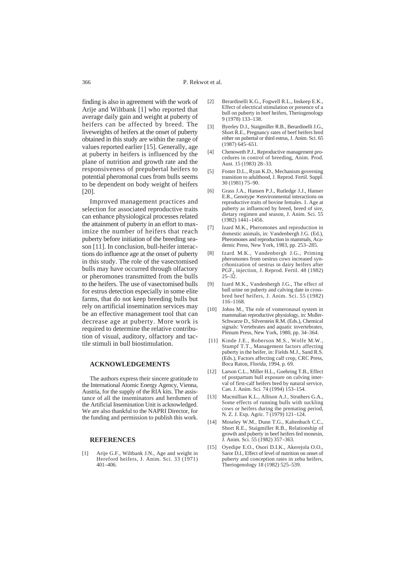finding is also in agreement with the work of Arije and Wiltbank [1] who reported that average daily gain and weight at puberty of heifers can be affected by breed. The liveweights of heifers at the onset of puberty obtained in this study are within the range of values reported earlier [15]. Generally, age at puberty in heifers is influenced by the plane of nutrition and growth rate and the responsiveness of prepubertal heifers to potential pheromonal cues from bulls seems to be dependent on body weight of heifers [20].

Improved management practices and selection for associated reproductive traits can enhance physiological processes related the attainment of puberty in an effort to maximize the number of heifers that reach puberty before initiation of the breeding season [11]. In conclusion, bull-heifer interactions do influence age at the onset of puberty in this study. The role of the vasectomised bulls may have occurred through olfactory or pheromones transmitted from the bulls to the heifers. The use of vasectomised bulls for estrus detection especially in some elite farms, that do not keep breeding bulls but rely on artificial insemination services may be an effective management tool that can decrease age at puberty. More work is required to determine the relative contribution of visual, auditory, olfactory and tactile stimuli in bull biostimulation.

#### **ACKNOWLEDGEMENTS**

The authors express their sincere gratitude to the International Atomic Energy Agency, Vienna, Austria, for the supply of the RIA kits. The assistance of all the inseminators and herdsmen of the Artificial Insemination Unit is acknowledged. We are also thankful to the NAPRI Director, for the funding and permission to publish this work.

#### **REFERENCES**

[1] Arije G.F., Wiltbank J.N., Age and weight in Hereford heifers, J. Anim. Sci. 33 (1971) 401–406.

- [2] Berardinelli K.G., Fogwell R.L., Inskeep E.K., Effect of electrical stimulation or presence of a bull on puberty in beef heifers, Theriogenology 9 (1978) 133–138.
- [3] Byerley D.J., Staigmiller R.B., Berardinelli J.G., Short R.E., Pregnancy rates of beef heifers bred either on pubertal or third estrus, J. Anim. Sci. 65 (1987) 645–651.
- [4] Chenoweth P.J., Reproductive management procedures in control of breeding, Anim. Prod. Aust. 15 (1983) 28–33.
- [5] Foster D.L., Ryan K.D., Mechanism governing transition to adulthood, J. Reprod. Fertil. Suppl. 30 (1981) 75–90.
- [6] Grass J.A., Hansen P.J., Rutledge J.J., Hanser E.R., Genotype  $\times$  environmental interactions on reproductive traits of bovine females. 1. Age at puberty as influenced by breed, breed of sire, dietary regimen and season, J. Anim. Sci. 55 (1982) 1441–1456.
- [7] Izard M.K., Pheromones and reproduction in domestic animals, in: Vandenbergh J.G. (Ed.), Pheromones and reproduction in mammals, Academic Press, New York, 1983, pp. 253–285.
- [8] Izard M.K., Vandenbergh J.G., Priming pheromones from oestrus cows increased syncrhonization of oestrus in dairy heifers after PGF<sub>2</sub> injection, J. Reprod. Fertil. 48 (1982)  $25 - 32$ .
- [9] Izard M.K., Vandenbergh J.G., The effect of bull urine on puberty and calving date in crossbred beef heifers, J. Anim. Sci. 55 (1982) 116–1168.
- [10] Johns M., The role of vomeronasal system in mammalian reproductive physiology, in: Muller-Schwarze D., Silverstein R.M. (Eds.), Chemical signals: Vertebrates and aquatic invertebrates, Plenum Press, New York, 1980, pp. 34–364.
- [11] Kinde J.E., Roberson M.S., Wolfe M.W., Stumpf T.T., Management factors affecting puberty in the heifer, in: Fields M.J., Sand R.S. (Eds.), Factors affecting calf crop, CRC Press, Boca Raton, Florida, 1994, p. 69.
- [12] Larson C.L., Miller H.L., Goehring T.B., Effect of postpartum bull exposure on calving interval of first-calf heifers bred by natural service, Can. J. Anim. Sci. 74 (1994) 153–154.
- [13] Macmillian K.L., Allison A.J., Struthers G.A., Some effects of running bulls with suckling cows or heifers during the premating period, N. Z. J. Exp. Agric. 7 (1979) 121–124.
- [14] Moseley W.M., Dunn T.G., Kaltenbach C.C., Short R.E., Staigmiller R.B., Relationship of growth and puberty in beef heifers fed monesin, J. Anim. Sci. 55 (1982) 357–363.
- [15] Oyedipe E.O., Osori D.I.K., Akerejola O.O., Saror  $\overline{D}$  L. Effect of level of nutrition on onset of puberty and conception rates in zebu heifers, Theriogenology 18 (1982) 525–539.